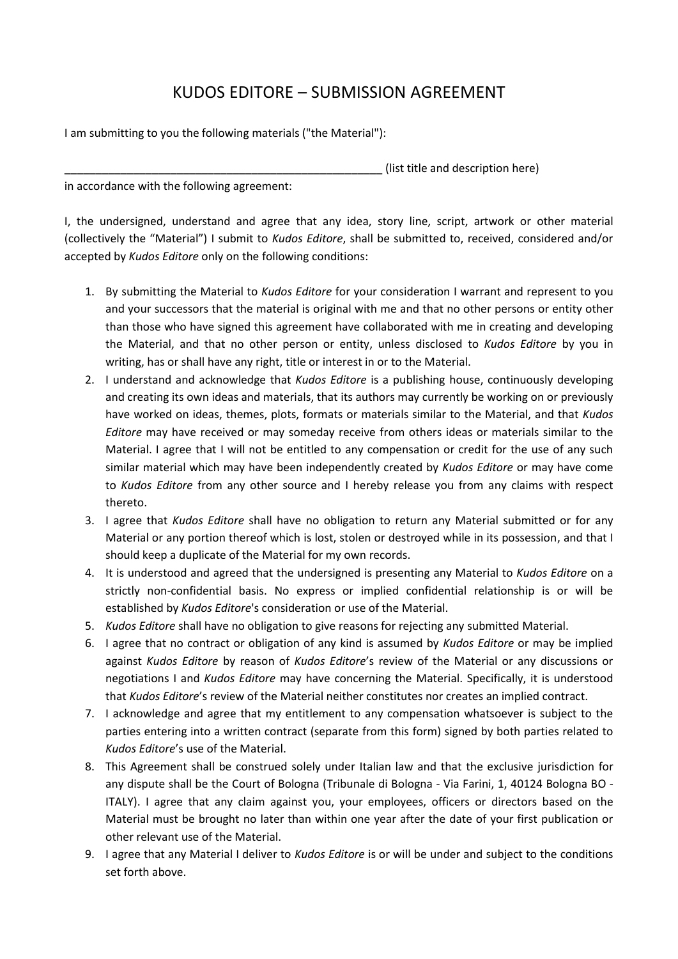## KUDOS EDITORE – SUBMISSION AGREEMENT

I am submitting to you the following materials ("the Material"):

(list title and description here)

in accordance with the following agreement:

I, the undersigned, understand and agree that any idea, story line, script, artwork or other material (collectively the "Material") I submit to *Kudos Editore*, shall be submitted to, received, considered and/or accepted by *Kudos Editore* only on the following conditions:

- 1. By submitting the Material to *Kudos Editore* for your consideration I warrant and represent to you and your successors that the material is original with me and that no other persons or entity other than those who have signed this agreement have collaborated with me in creating and developing the Material, and that no other person or entity, unless disclosed to *Kudos Editore* by you in writing, has or shall have any right, title or interest in or to the Material.
- 2. I understand and acknowledge that *Kudos Editore* is a publishing house, continuously developing and creating its own ideas and materials, that its authors may currently be working on or previously have worked on ideas, themes, plots, formats or materials similar to the Material, and that *Kudos Editore* may have received or may someday receive from others ideas or materials similar to the Material. I agree that I will not be entitled to any compensation or credit for the use of any such similar material which may have been independently created by *Kudos Editore* or may have come to *Kudos Editore* from any other source and I hereby release you from any claims with respect thereto.
- 3. I agree that *Kudos Editore* shall have no obligation to return any Material submitted or for any Material or any portion thereof which is lost, stolen or destroyed while in its possession, and that I should keep a duplicate of the Material for my own records.
- 4. It is understood and agreed that the undersigned is presenting any Material to *Kudos Editore* on a strictly non-confidential basis. No express or implied confidential relationship is or will be established by *Kudos Editore*'s consideration or use of the Material.
- 5. *Kudos Editore* shall have no obligation to give reasons for rejecting any submitted Material.
- 6. I agree that no contract or obligation of any kind is assumed by *Kudos Editore* or may be implied against *Kudos Editore* by reason of *Kudos Editore*'s review of the Material or any discussions or negotiations I and *Kudos Editore* may have concerning the Material. Specifically, it is understood that *Kudos Editore*'s review of the Material neither constitutes nor creates an implied contract.
- 7. I acknowledge and agree that my entitlement to any compensation whatsoever is subject to the parties entering into a written contract (separate from this form) signed by both parties related to *Kudos Editore*'s use of the Material.
- 8. This Agreement shall be construed solely under Italian law and that the exclusive jurisdiction for any dispute shall be the Court of Bologna (Tribunale di Bologna - Via Farini, 1, 40124 Bologna BO - ITALY). I agree that any claim against you, your employees, officers or directors based on the Material must be brought no later than within one year after the date of your first publication or other relevant use of the Material.
- 9. I agree that any Material I deliver to *Kudos Editore* is or will be under and subject to the conditions set forth above.